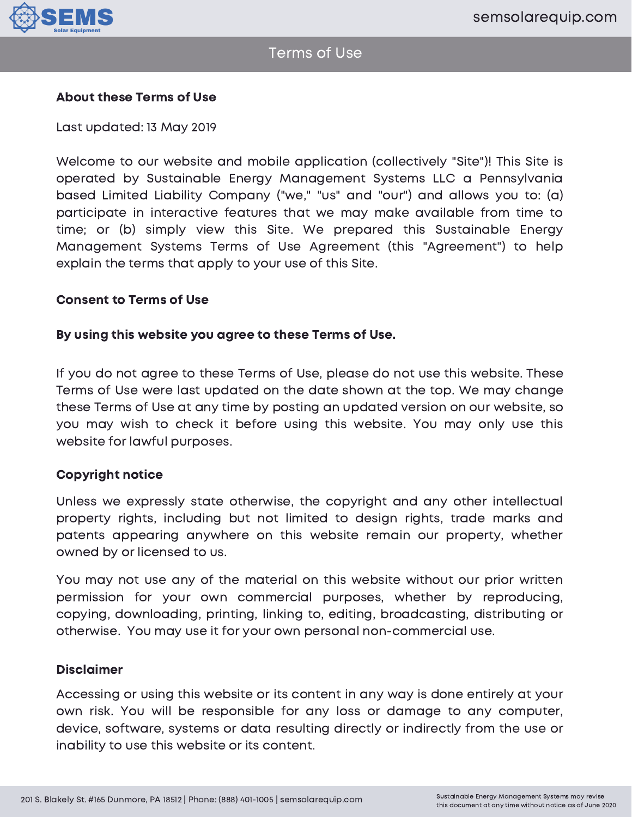

## About these Terms of Use

Last updated: 13 May 2019

Welcome to our website and mobile application (collectively "Site")! This Site is operated by Sustainable Energy Management Systems LLC a Pennsylvania based Limited Liability Company ("we," "us" and "our") and allows you to: (a) participate in interactive features that we may make available from time to time; or (b) simply view this Site. We prepared this Sustainable Energy Management Systems Terms of Use Agreement (this "Agreement") to help explain the terms that apply to your use of this Site.

### Consent to Terms of Use

### By using this website you agree to these Terms of Use.

If you do not agree to these Terms of Use, please do not use this website. These Terms of Use were last updated on the date shown at the top. We may change these Terms of Use at any time by posting an updated version on our website, so you may wish to check it before using this website. You may only use this website for lawful purposes.

#### Copyright notice

Unless we expressly state otherwise, the copyright and any other intellectual property rights, including but not limited to design rights, trade marks and patents appearing anywhere on this website remain our property, whether owned by or licensed to us.

You may not use any of the material on this website without our prior written permission for your own commercial purposes, whether by reproducing, copying, downloading, printing, linking to, editing, broadcasting, distributing or otherwise. You may use it for your own personal non-commercial use.

#### Disclaimer

Accessing or using this website or its content in any way is done entirely at your own risk. You will be responsible for any loss or damage to any computer, device, software, systems or data resulting directly or indirectly from the use or inability to use this website or its content.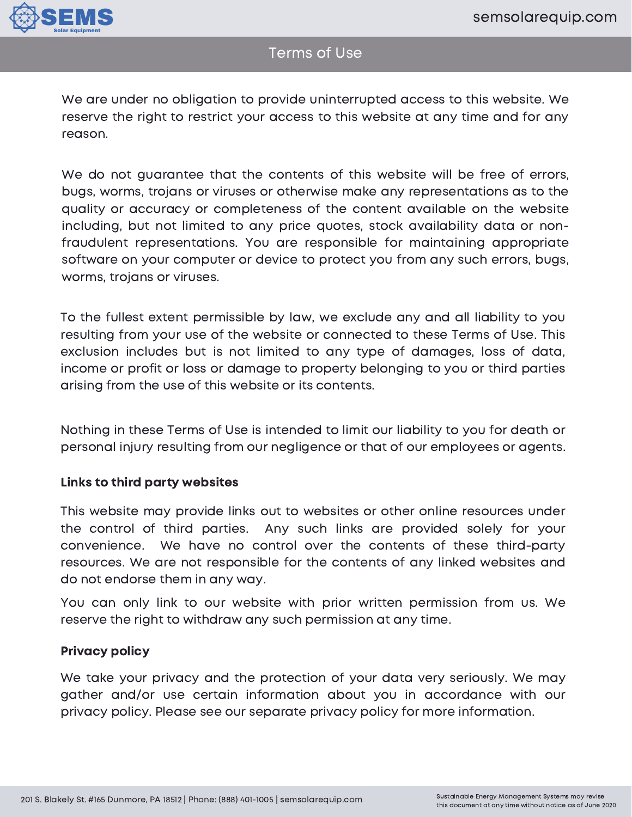

# Terms of Use

We are under no obligation to provide uninterrupted access to this website. We reserve the right to restrict your access to this website at any time and for any reason.

We do not guarantee that the contents of this website will be free of errors, bugs, worms, trojans or viruses or otherwise make any representations as to the quality or accuracy or completeness of the content available on the website including, but not limited to any price quotes, stock availability data or nonfraudulent representations. You are responsible for maintaining appropriate software on your computer or device to protect you from any such errors, bugs, worms, trojans or viruses.

To the fullest extent permissible by law, we exclude any and all liability to you resulting from your use of the website or connected to these Terms of Use. This exclusion includes but is not limited to any type of damages, loss of data, income or profit or loss or damage to property belonging to you or third parties arising from the use of this website or its contents.

Nothing in these Terms of Use is intended to limit our liability to you for death or personal injury resulting from our negligence or that of our employees or agents.

## Links to third party websites

This website may provide links out to websites or other online resources under the control of third parties. Any such links are provided solely for your convenience. We have no control over the contents of these third-party resources. We are not responsible for the contents of any linked websites and do not endorse them in any way.

You can only link to our website with prior written permission from us. We reserve the right to withdraw any such permission at any time.

## Privacy policy

We take your privacy and the protection of your data very seriously. We may gather and/or use certain information about you in accordance with our privacy policy. Please see our separate privacy policy for more information.